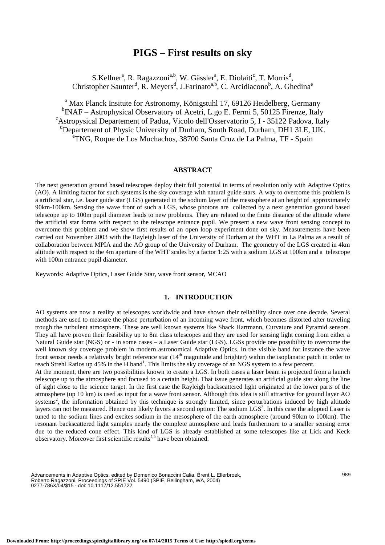# **PIGS – First results on sky**

S.Kellner<sup>a</sup>, R. Ragazzoni<sup>a,b</sup>, W. Gässler<sup>a</sup>, E. Diolaiti<sup>c</sup>, T. Morris<sup>d</sup>, Christopher Saunter<sup>d</sup>, R. Meyers<sup>d</sup>, J.Farinato<sup>a,b</sup>, C. Arcidiacono<sup>b</sup>, A. Ghedina<sup>e</sup>

<sup>a</sup> Max Planck Insitute for Astronomy, Königstuhl 17, 69126 Heidelberg, Germany <sup>b</sup>INAF – Astrophysical Observatory of Acetri, L.go E. Fermi 5, 50125 Firenze, Italy <sup>c</sup>Astropysical Departement of Padua, Vicolo dell'Osservatorio 5, I - 35122 Padova, Italy departement of Physic University of Durban, South Poed, Durban, DH1 3LE JIK  $\alpha$ Departement of Physic University of Durham, South Road, Durham, DH1 3LE, UK. TNG, Roque de Los Muchachos, 38700 Santa Cruz de La Palma, TF - Spain

#### **ABSTRACT**

The next generation ground based telescopes deploy their full potential in terms of resolution only with Adaptive Optics (AO). A limiting factor for such systems is the sky coverage with natural guide stars. A way to overcome this problem is a artificial star, i.e. laser guide star (LGS) generated in the sodium layer of the mesosphere at an height of approximately 90km-100km. Sensing the wave front of such a LGS, whose photons are collected by a next generation ground based telescope up to 100m pupil diameter leads to new problems. They are related to the finite distance of the altitude where the artificial star forms with respect to the telescope entrance pupil. We present a new wave front sensing concept to overcome this problem and we show first results of an open loop experiment done on sky. Measurements have been carried out November 2003 with the Rayleigh laser of the University of Durham at the WHT in La Palma as a result of collaboration between MPIA and the AO group of the University of Durham. The geometry of the LGS created in 4km altitude with respect to the 4m aperture of the WHT scales by a factor 1:25 with a sodium LGS at 100km and a telescope with 100m entrance pupil diameter.

Keywords: Adaptive Optics, Laser Guide Star, wave front sensor, MCAO

# **1. INTRODUCTION**

AO systems are now a reality at telescopes worldwide and have shown their reliability since over one decade. Several methods are used to measure the phase perturbation of an incoming wave front, which becomes distorted after traveling trough the turbulent atmosphere. These are well known systems like Shack Hartmann, Curvature and Pyramid sensors. They all have proven their feasibility up to 8m class telescopes and they are used for sensing light coming from either a Natural Guide star (NGS) or - in some cases – a Laser Guide star (LGS). LGSs provide one possibility to overcome the well known sky coverage problem in modern astronomical Adaptive Optics. In the visible band for instance the wave front sensor needs a relatively bright reference star (14<sup>th</sup> magnitude and brighter) within the isoplanatic patch in order to reach Strehl Ratios up 45% in the H band<sup>1</sup>. This limits the sky coverage of an NGS system to a few percent.

At the moment, there are two possibilities known to create a LGS. In both cases a laser beam is projected from a launch telescope up to the atmosphere and focused to a certain height. That issue generates an artificial guide star along the line of sight close to the science target. In the first case the Rayleigh backscattered light originated at the lower parts of the atmosphere (up 10 km) is used as input for a wave front sensor. Although this idea is still attractive for ground layer AO systems<sup>2</sup>, the information obtained by this technique is strongly limited, since perturbations induced by high altitude layers can not be measured. Hence one likely favors a second option: The sodium LGS<sup>3</sup>. In this case the adopted Laser is tuned to the sodium lines and excites sodium in the mesosphere of the earth atmosphere (around 90km to 100km). The resonant backscattered light samples nearly the complete atmosphere and leads furthermore to a smaller sensing error due to the reduced cone effect. This kind of LGS is already established at some telescopes like at Lick and Keck observatory. Moreover first scientific results<sup>4,5</sup> have been obtained.

Advancements in Adaptive Optics, edited by Domenico Bonaccini Calia, Brent L. Ellerbroek, Roberto Ragazzoni, Proceedings of SPIE Vol. 5490 (SPIE, Bellingham, WA, 2004) 0277-786X/04/\$15 · doi: 10.1117/12.551722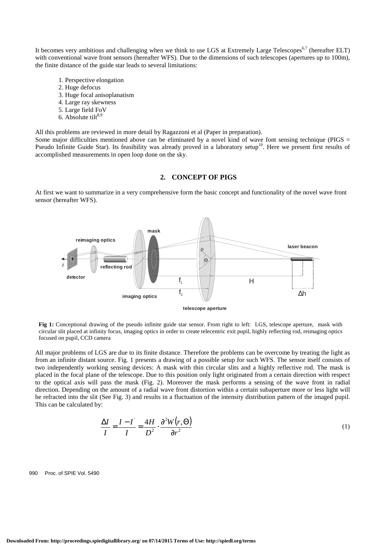It becomes very ambitious and challenging when we think to use LGS at Extremely Large Telescopes<sup>6,7</sup> (hereafter ELT) with conventional wave front sensors (hereafter WFS). Due to the dimensions of such telescopes (apertures up to 100m), the finite distance of the guide star leads to several limitations:

- 1. Perspective elongation
- 2. Huge defocus
- 3. Huge focal anisoplanatism
- 4. Large ray skewness
- 5. Large field FoV
- 6. Absolute tilt $8,9$

All this problems are reviewed in more detail by Ragazzoni et al (Paper in preparation).

Some major difficulties mentioned above can be eliminated by a novel kind of wave font sensing technique (PIGS  $=$ Pseudo Infinite Guide Star). Its feasibility was already proved in a laboratory setup<sup>10</sup>. Here we present first results of accomplished measurements in open loop done on the sky.

# **2. CONCEPT OF PIGS**

At first we want to summarize in a very comprehensive form the basic concept and functionality of the novel wave front sensor (hereafter WFS).



**Fig 1:** Conceptional drawing of the pseudo infinite guide star sensor. From right to left: LGS, telescope aperture, mask with circular slit placed at infinity focus, imaging optics in order to create telecentric exit pupil, highly reflecting rod, reimaging optics focused on pupil, CCD camera

All major problems of LGS are due to its finite distance. Therefore the problems can be overcome by treating the light as from an infinite distant source. Fig. 1 presents a drawing of a possible setup for such WFS. The sensor itself consists of two independently working sensing devices: A mask with thin circular slits and a highly reflective rod. The mask is placed in the focal plane of the telescope. Due to this position only light originated from a certain direction with respect to the optical axis will pass the mask (Fig. 2). Moreover the mask performs a sensing of the wave front in radial direction. Depending on the amount of a radial wave front distortion within a certain subaperture more or less light will be refracted into the slit (See Fig. 3) and results in a fluctuation of the intensity distribution pattern of the imaged pupil. This can be calculated by:

$$
\frac{\Delta I}{I} = \frac{I - I}{I} = \frac{4H}{D^2} \cdot \frac{\partial^2 W(r, \Theta)}{\partial r^2}
$$
(1)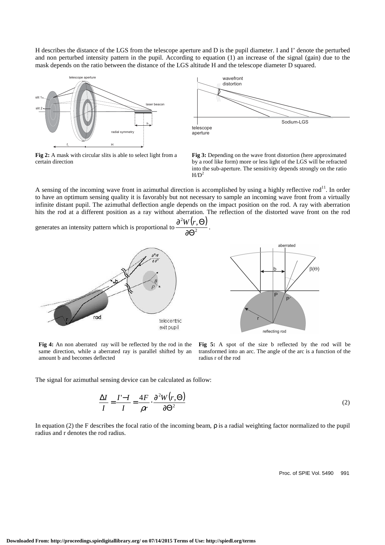H describes the distance of the LGS from the telescope aperture and D is the pupil diameter. I and I' denote the perturbed and non perturbed intensity pattern in the pupil. According to equation (1) an increase of the signal (gain) due to the mask depends on the ratio between the distance of the LGS altitude H and the telescope diameter D squared.



**Fig 2:** A mask with circular slits is able to select light from a certain direction



**Fig 3:** Depending on the wave front distortion (here approximated by a roof like form) more or less light of the LGS will be refracted into the sub-aperture. The sensitivity depends strongly on the ratio  $H/D^2$ 

A sensing of the incoming wave front in azimuthal direction is accomplished by using a highly reflective  $rod<sup>11</sup>$ . In order to have an optimum sensing quality it is favorably but not necessary to sample an incoming wave front from a virtually infinite distant pupil. The azimuthal deflection angle depends on the impact position on the rod. A ray with aberration hits the rod at a different position as a ray without aberration. The reflection of the distorted wave front on the rod

generates an intensity pattern which is proportional to  $\frac{\partial^2 W(r, \Theta)}{\partial \Omega^2}$  $\sqrt[2]{u(r)}$ ∂Θ  $\frac{\partial^2 W(r,\Theta)}{\partial r^2}$ .





**Fig 4:** An non aberrated ray will be reflected by the rod in the same direction, while a aberrated ray is parallel shifted by an amount b and becomes deflected

**Fig 5:** A spot of the size b reflected by the rod will be transformed into an arc. The angle of the arc is a function of the radius r of the rod

The signal for azimuthal sensing device can be calculated as follow:

$$
\frac{\Delta I}{I} = \frac{I'-I}{I} = \frac{4F}{\rho r} \cdot \frac{\partial^2 W(r, \Theta)}{\partial \Theta^2}
$$
(2)

In equation (2) the F describes the focal ratio of the incoming beam, ρ is a radial weighting factor normalized to the pupil radius and r denotes the rod radius.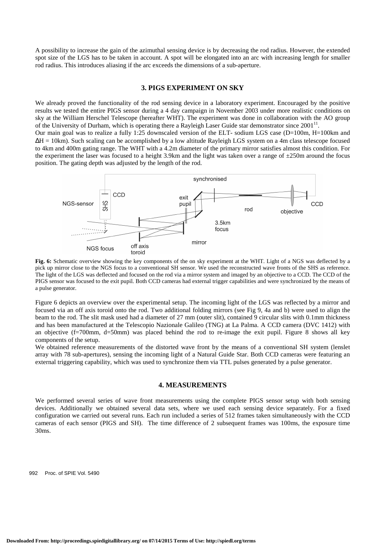A possibility to increase the gain of the azimuthal sensing device is by decreasing the rod radius. However, the extended spot size of the LGS has to be taken in account. A spot will be elongated into an arc with increasing length for smaller rod radius. This introduces aliasing if the arc exceeds the dimensions of a sub-aperture.

#### **3. PIGS EXPERIMENT ON SKY**

We already proved the functionality of the rod sensing device in a laboratory experiment. Encouraged by the positive results we tested the entire PIGS sensor during a 4 day campaign in November 2003 under more realistic conditions on sky at the William Herschel Telescope (hereafter WHT). The experiment was done in collaboration with the AO group of the University of Durham, which is operating there a Rayleigh Laser Guide star demonstrator since  $2001^{11}$ . Our main goal was to realize a fully 1:25 downscaled version of the ELT- sodium LGS case (D=100m, H=100km and ∆H = 10km). Such scaling can be accomplished by a low altitude Rayleigh LGS system on a 4m class telescope focused to 4km and 400m gating range. The WHT with a 4.2m diameter of the primary mirror satisfies almost this condition. For the experiment the laser was focused to a height 3.9km and the light was taken over a range of  $\pm 250$ m around the focus position. The gating depth was adjusted by the length of the rod.



**Fig. 6:** Schematic overview showing the key components of the on sky experiment at the WHT. Light of a NGS was deflected by a pick up mirror close to the NGS focus to a conventional SH sensor. We used the reconstructed wave fronts of the SHS as reference. The light of the LGS was deflected and focused on the rod via a mirror system and imaged by an objective to a CCD. The CCD of the PIGS sensor was focused to the exit pupil. Both CCD cameras had external trigger capabilities and were synchronized by the means of a pulse generator.

Figure 6 depicts an overview over the experimental setup. The incoming light of the LGS was reflected by a mirror and focused via an off axis toroid onto the rod. Two additional folding mirrors (see Fig 9, 4a and b) were used to align the beam to the rod. The slit mask used had a diameter of 27 mm (outer slit), contained 9 circular slits with 0.1mm thickness and has been manufactured at the Telescopio Nazionale Galileo (TNG) at La Palma. A CCD camera (DVC 1412) with an objective (f=700mm, d=50mm) was placed behind the rod to re-image the exit pupil. Figure 8 shows all key components of the setup.

We obtained reference measurements of the distorted wave front by the means of a conventional SH system (lenslet array with 78 sub-apertures), sensing the incoming light of a Natural Guide Star. Both CCD cameras were featuring an external triggering capability, which was used to synchronize them via TTL pulses generated by a pulse generator.

#### **4. MEASUREMENTS**

We performed several series of wave front measurements using the complete PIGS sensor setup with both sensing devices. Additionally we obtained several data sets, where we used each sensing device separately. For a fixed configuration we carried out several runs. Each run included a series of 512 frames taken simultaneously with the CCD cameras of each sensor (PIGS and SH). The time difference of 2 subsequent frames was 100ms, the exposure time 30ms.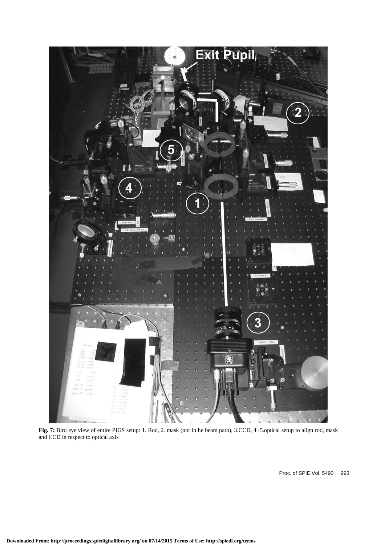

**Fig. 7:** Bird eye view of entire PIGS setup: 1. Rod, 2. mask (not in he beam path), 3.CCD, 4+5.optical setup to align rod, mask and CCD in respect to optical axis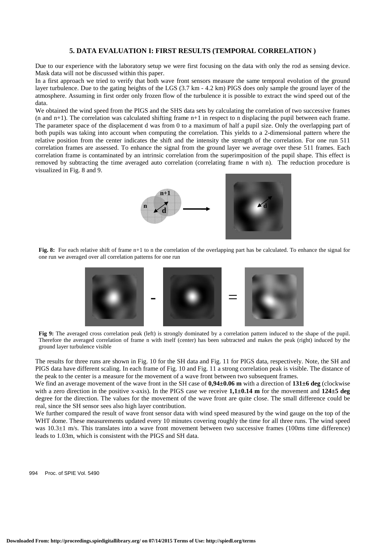# **5. DATA EVALUATION I: FIRST RESULTS (TEMPORAL CORRELATION )**

Due to our experience with the laboratory setup we were first focusing on the data with only the rod as sensing device. Mask data will not be discussed within this paper.

In a first approach we tried to verify that both wave front sensors measure the same temporal evolution of the ground layer turbulence. Due to the gating heights of the LGS (3.7 km - 4.2 km) PIGS does only sample the ground layer of the atmosphere. Assuming in first order only frozen flow of the turbulence it is possible to extract the wind speed out of the data.

We obtained the wind speed from the PIGS and the SHS data sets by calculating the correlation of two successive frames  $(n \text{ and } n+1)$ . The correlation was calculated shifting frame  $n+1$  in respect to n displacing the pupil between each frame. The parameter space of the displacement d was from 0 to a maximum of half a pupil size. Only the overlapping part of both pupils was taking into account when computing the correlation. This yields to a 2-dimensional pattern where the relative position from the center indicates the shift and the intensity the strength of the correlation. For one run 511 correlation frames are assessed. To enhance the signal from the ground layer we average over these 511 frames. Each correlation frame is contaminated by an intrinsic correlation from the superimposition of the pupil shape. This effect is removed by subtracting the time averaged auto correlation (correlating frame n with n). The reduction procedure is visualized in Fig. 8 and 9.



**Fig. 8:** For each relative shift of frame n+1 to n the correlation of the overlapping part has be calculated. To enhance the signal for one run we averaged over all correlation patterns for one run



**Fig 9:** The averaged cross correlation peak (left) is strongly dominated by a correlation pattern induced to the shape of the pupil. Therefore the averaged correlation of frame n with itself (center) has been subtracted and makes the peak (right) induced by the ground layer turbulence visible

The results for three runs are shown in Fig. 10 for the SH data and Fig. 11 for PIGS data, respectively. Note, the SH and PIGS data have different scaling. In each frame of Fig. 10 and Fig. 11 a strong correlation peak is visible. The distance of the peak to the center is a measure for the movement of a wave front between two subsequent frames.

We find an average movement of the wave front in the SH case of **0,94±0.06 m** with a direction of **131±6 deg** (clockwise with a zero direction in the positive x-axis). In the PIGS case we receive **1,1±0.14 m** for the movement and **124±5 deg** degree for the direction. The values for the movement of the wave front are quite close. The small difference could be real, since the SH sensor sees also high layer contribution.

We further compared the result of wave front sensor data with wind speed measured by the wind gauge on the top of the WHT dome. These measurements updated every 10 minutes covering roughly the time for all three runs. The wind speed was 10.3 $\pm$ 1 m/s. This translates into a wave front movement between two successive frames (100ms time difference) leads to 1.03m, which is consistent with the PIGS and SH data.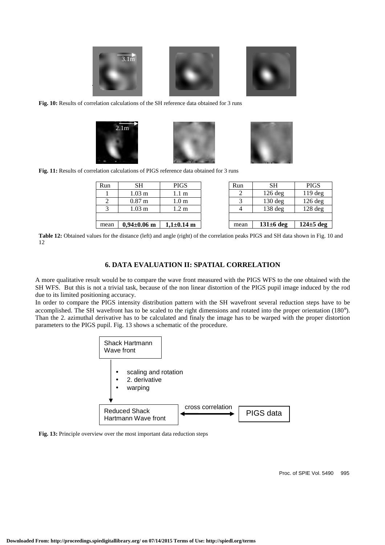

**Fig. 10:** Results of correlation calculations of the SH reference data obtained for 3 runs



**Fig. 11:** Results of correlation calculations of PIGS reference data obtained for 3 runs

| Run  | SН                | <b>PIGS</b>     | Run  | <b>SH</b>     | <b>PIGS</b>    |
|------|-------------------|-----------------|------|---------------|----------------|
|      | $1.03 \text{ m}$  | 1.1 m           |      | $126$ deg     | 119 deg        |
|      | 0.87 <sub>m</sub> | $1.0 \text{ m}$ |      | $130$ deg     | $126$ deg      |
|      | $1.03 \text{ m}$  | 1.2 m           |      | $138$ deg     | $128$ deg      |
|      |                   |                 |      |               |                |
| mean | $0,94\pm0.06$ m   | $1,1\pm0.14$ m  | mean | $131\pm6$ deg | $124\pm 5$ deg |

**Table 12:** Obtained values for the distance (left) and angle (right) of the correlation peaks PIGS and SH data shown in Fig. 10 and 12

# **6. DATA EVALUATION II: SPATIAL CORRELATION**

A more qualitative result would be to compare the wave front measured with the PIGS WFS to the one obtained with the SH WFS. But this is not a trivial task, because of the non linear distortion of the PIGS pupil image induced by the rod due to its limited positioning accuracy.

In order to compare the PIGS intensity distribution pattern with the SH wavefront several reduction steps have to be accomplished. The SH wavefront has to be scaled to the right dimensions and rotated into the proper orientation (180°). Than the 2. azimuthal derivative has to be calculated and finaly the image has to be warped with the proper distortion parameters to the PIGS pupil. Fig. 13 shows a schematic of the procedure.



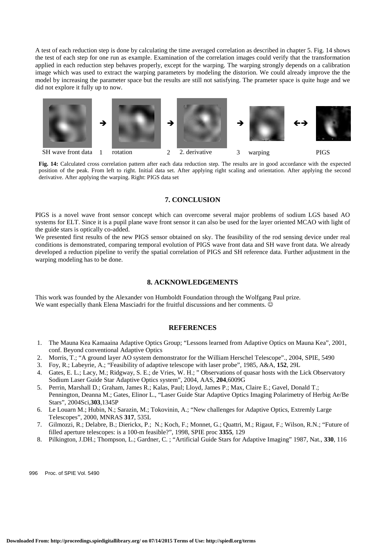A test of each reduction step is done by calculating the time averaged correlation as described in chapter 5. Fig. 14 shows the test of each step for one run as example. Examination of the correlation images could verify that the transformation applied in each reduction step behaves properly, except for the warping. The warping strongly depends on a calibration image which was used to extract the warping parameters by modeling the distorion. We could already improve the the model by increasing the parameter space but the results are still not satisfying. The prameter space is quite huge and we did not explore it fully up to now.



**Fig. 14:** Calculated cross correlation pattern after each data reduction step. The results are in good accordance with the expected position of the peak. From left to right. Initial data set. After applying right scaling and orientation. After applying the second derivative. After applying the warping. Right: PIGS data set

#### **7. CONCLUSION**

PIGS is a novel wave front sensor concept which can overcome several major problems of sodium LGS based AO systems for ELT. Since it is a pupil plane wave front sensor it can also be used for the layer oriented MCAO with light of the guide stars is optically co-added.

We presented first results of the new PIGS sensor obtained on sky. The feasibility of the rod sensing device under real conditions is demonstrated, comparing temporal evolution of PIGS wave front data and SH wave front data. We already developed a reduction pipeline to verify the spatial correlation of PIGS and SH reference data. Further adjustment in the warping modeling has to be done.

### **8. ACKNOWLEDGEMENTS**

This work was founded by the Alexander von Humboldt Foundation through the Wolfgang Paul prize. We want especially thank Elena Masciadri for the fruitful discussions and her comments.  $\odot$ 

#### **REFERENCES**

- 1. The Mauna Kea Kamaaina Adaptive Optics Group; "Lessons learned from Adaptive Optics on Mauna Kea", 2001, conf. Beyond conventional Adaptive Optics
- 2. Morris, T.; "A ground layer AO system demonstrator for the William Herschel Telescope"., 2004, SPIE, 5490
- 3. Foy, R.; Labeyrie, A.; "Feasibility of adaptive telescope with laser probe", 1985, A&A, **152**, 29L
- 4. Gates, E. L.; Lacy, M.; Ridgway, S. E.; de Vries, W. H.; " Observations of quasar hosts with the Lick Observatory Sodium Laser Guide Star Adaptive Optics system", 2004, AAS, **204**,6009G
- 5. Perrin, Marshall D.; Graham, James R.; Kalas, Paul; Lloyd, James P.; Max, Claire E.; Gavel, Donald T.; Pennington, Deanna M.; Gates, Elinor L., "Laser Guide Star Adaptive Optics Imaging Polarimetry of Herbig Ae/Be Stars", 2004Sci,**303**,1345P
- 6. Le Louarn M.; Hubin, N.; Sarazin, M.; Tokovinin, A.; "New challenges for Adaptive Optics, Extremly Large Telescopes", 2000, MNRAS **317**, 535L
- 7. Gilmozzi, R.; Delabre, B.; Dierickx, P.; N.; Koch, F.; Monnet, G.; Quattri, M.; Rigaut, F.; Wilson, R.N.; "Future of filled aperture telescopes: is a 100-m feasible?", 1998, SPIE proc **3355**, 129
- 8. Pilkington, J.DH.; Thompson, L.; Gardner, C. ; "Artificial Guide Stars for Adaptive Imaging" 1987, Nat., **330**, 116